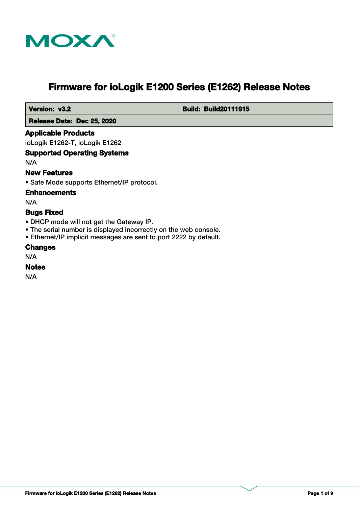

# **Firmware for ioLogik E1200 Series (E1262) Release Notes**

 **Version: v3.2 Build: Build: Build20111915** 

 **Release Date: Dec 25, 2020**

## **Applicable Products**

ioLogik E1262-T, ioLogik E1262

## **Supported Operating Systems**

N/A

## **New Features**

• Safe Mode supports Ethernet/IP protocol.

## **Enhancements**

N/A

## **Bugs Fixed**

- DHCP mode will not get the Gateway IP.
- The serial number is displayed incorrectly on the web console.
- Ethernet/IP implicit messages are sent to port 2222 by default.

## **Changes**

N/A

## **Notes**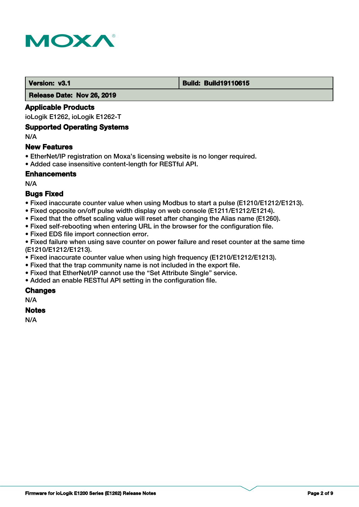

#### **Version: v3.1 Build: Build: Build19110615**

 **Release Date: Nov 26, 2019**

## **Applicable Products**

ioLogik E1262, ioLogik E1262-T

## **Supported Operating Systems**

N/A

## **New Features**

- EtherNet/IP registration on Moxa's licensing website is no longer required.
- Added case insensitive content-length for RESTful API.

## **Enhancements**

N/A

## **Bugs Fixed**

- Fixed inaccurate counter value when using Modbus to start a pulse (E1210/E1212/E1213).
- Fixed opposite on/off pulse width display on web console (E1211/E1212/E1214).
- Fixed that the offset scaling value will reset after changing the Alias name (E1260).
- Fixed self-rebooting when entering URL in the browser for the configuration file.
- Fixed EDS file import connection error.

• Fixed failure when using save counter on power failure and reset counter at the same time (E1210/E1212/E1213).

- Fixed inaccurate counter value when using high frequency (E1210/E1212/E1213).
- Fixed that the trap community name is not included in the export file.
- Fixed that EtherNet/IP cannot use the "Set Attribute Single" service.
- Added an enable RESTful API setting in the configuration file.

## **Changes**

N/A

## **Notes**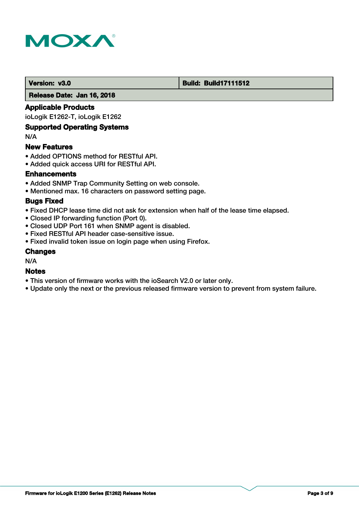

## **Version: v3.0 Build: Build: Build17111512**

 **Release Date: Jan 16, 2018**

## **Applicable Products**

ioLogik E1262-T, ioLogik E1262

## **Supported Operating Systems**

N/A

## **New Features**

- Added OPTIONS method for RESTful API.
- Added quick access URI for RESTful API.

## **Enhancements**

- Added SNMP Trap Community Setting on web console.
- Mentioned max. 16 characters on password setting page.

## **Bugs Fixed**

- Fixed DHCP lease time did not ask for extension when half of the lease time elapsed.
- Closed IP forwarding function (Port 0).
- Closed UDP Port 161 when SNMP agent is disabled.
- Fixed RESTful API header case-sensitive issue.
- Fixed invalid token issue on login page when using Firefox.

## **Changes**

N/A

## **Notes**

- This version of firmware works with the ioSearch V2.0 or later only.
- Update only the next or the previous released firmware version to prevent from system failure.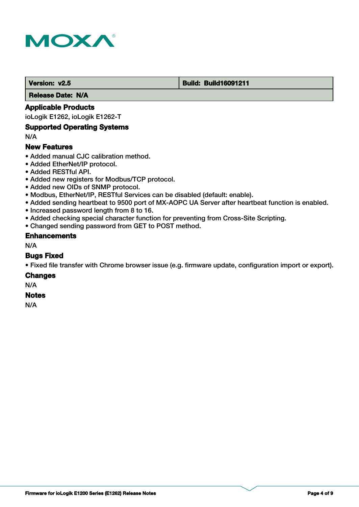

#### **Version: v2.5 Build: Build: Build16091211**

 **Release Date: N/A**

## **Applicable Products**

ioLogik E1262, ioLogik E1262-T

## **Supported Operating Systems**

N/A

## **New Features**

- Added manual CJC calibration method.
- Added EtherNet/IP protocol.
- Added RESTful API.
- Added new registers for Modbus/TCP protocol.
- Added new OIDs of SNMP protocol.
- Modbus, EtherNet/IP, RESTful Services can be disabled (default: enable).
- Added sending heartbeat to 9500 port of MX-AOPC UA Server after heartbeat function is enabled.
- Increased password length from 8 to 16.
- Added checking special character function for preventing from Cross-Site Scripting.
- Changed sending password from GET to POST method.

## **Enhancements**

N/A

## **Bugs Fixed**

• Fixed file transfer with Chrome browser issue (e.g. firmware update, configuration import or export).

#### **Changes**

N/A

#### **Notes**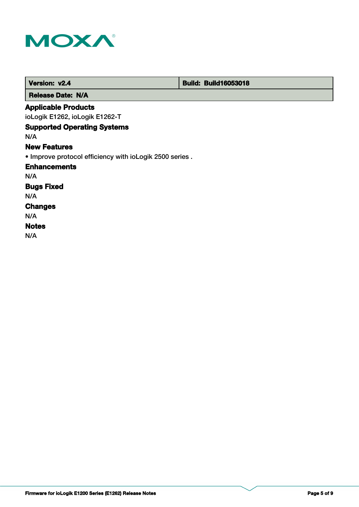

| Version: v2.4                                           | <b>Build: Build16053018</b> |
|---------------------------------------------------------|-----------------------------|
| <b>Release Date: N/A</b>                                |                             |
| <b>Applicable Products</b>                              |                             |
| ioLogik E1262, ioLogik E1262-T                          |                             |
| <b>Supported Operating Systems</b>                      |                             |
| N/A                                                     |                             |
| <b>New Features</b>                                     |                             |
| • Improve protocol efficiency with ioLogik 2500 series. |                             |
| <b>Enhancements</b>                                     |                             |
| N/A                                                     |                             |
| <b>Bugs Fixed</b>                                       |                             |
| N/A                                                     |                             |
| <b>Changes</b>                                          |                             |
| N/A                                                     |                             |
| <b>Notes</b>                                            |                             |
| N/A                                                     |                             |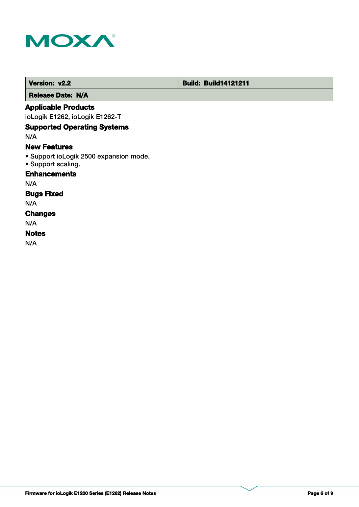

 **Version: v2.2 Build: Build: Build14121211** 

 **Release Date: N/A**

## **Applicable Products**

ioLogik E1262, ioLogik E1262-T

## **Supported Operating Systems**

N/A

## **New Features**

- Support ioLogik 2500 expansion mode.
- Support scaling.

## **Enhancements**

N/A

## **Bugs Fixed**

N/A

## **Changes**

N/A

## **Notes**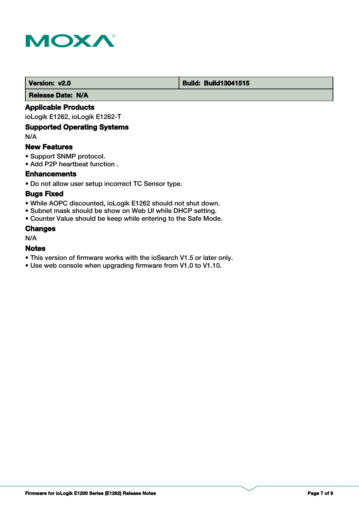

## **Version: v2.0 Build: Build: Build13041515**

 **Release Date: N/A**

## **Applicable Products**

ioLogik E1262, ioLogik E1262-T

## **Supported Operating Systems**

N/A

## **New Features**

- Support SNMP protocol.
- Add P2P heartbeat function .

## **Enhancements**

• Do not allow user setup incorrect TC Sensor type.

## **Bugs Fixed**

- While AOPC discounted, ioLogik E1262 should not shut down.
- Subnet mask should be show on Web UI while DHCP setting.
- Counter Value should be keep while entering to the Safe Mode.

## **Changes**

N/A

## **Notes**

- This version of firmware works with the ioSearch V1.5 or later only.
- Use web console when upgrading firmware from V1.0 to V1.10.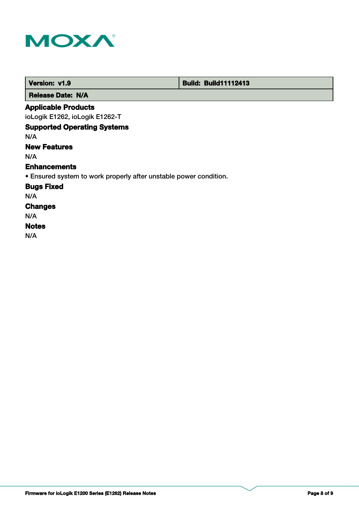

п

| Version: v1.9                                                     | <b>Build: Build11112413</b> |
|-------------------------------------------------------------------|-----------------------------|
| <b>Release Date: N/A</b>                                          |                             |
| <b>Applicable Products</b>                                        |                             |
| ioLogik E1262, ioLogik E1262-T                                    |                             |
| <b>Supported Operating Systems</b>                                |                             |
| N/A                                                               |                             |
| <b>New Features</b>                                               |                             |
| N/A                                                               |                             |
| <b>Enhancements</b>                                               |                             |
| • Ensured system to work properly after unstable power condition. |                             |
| <b>Bugs Fixed</b>                                                 |                             |
| N/A                                                               |                             |
| <b>Changes</b>                                                    |                             |
| N/A                                                               |                             |
| <b>Notes</b>                                                      |                             |
| N/A                                                               |                             |

т